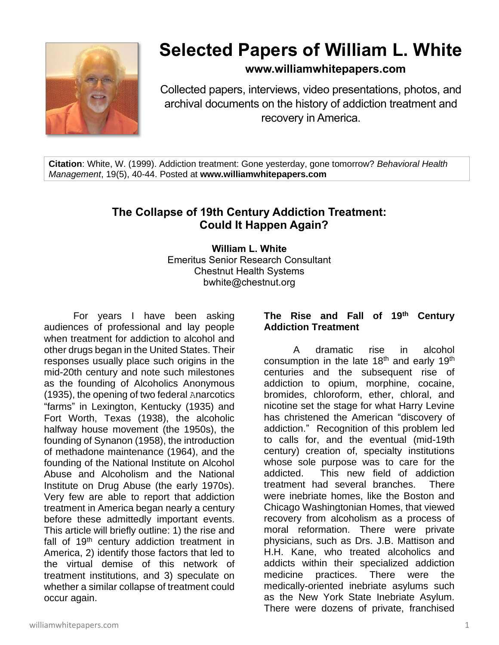

# **Selected Papers of William L. White**

### **www.williamwhitepapers.com**

Collected papers, interviews, video presentations, photos, and archival documents on the history of addiction treatment and recovery in America.

**Citation**: White, W. (1999). Addiction treatment: Gone yesterday, gone tomorrow? *Behavioral Health Management*, 19(5), 40-44. Posted at **www.williamwhitepapers.com**

## **The Collapse of 19th Century Addiction Treatment: Could It Happen Again?**

**William L. White** Emeritus Senior Research Consultant Chestnut Health Systems bwhite@chestnut.org

For years I have been asking audiences of professional and lay people when treatment for addiction to alcohol and other drugs began in the United States. Their responses usually place such origins in the mid-20th century and note such milestones as the founding of Alcoholics Anonymous (1935), the opening of two federal Anarcotics "farms" in Lexington, Kentucky (1935) and Fort Worth, Texas (1938), the alcoholic halfway house movement (the 1950s), the founding of Synanon (1958), the introduction of methadone maintenance (1964), and the founding of the National Institute on Alcohol Abuse and Alcoholism and the National Institute on Drug Abuse (the early 1970s). Very few are able to report that addiction treatment in America began nearly a century before these admittedly important events. This article will briefly outline: 1) the rise and fall of  $19<sup>th</sup>$  century addiction treatment in America, 2) identify those factors that led to the virtual demise of this network of treatment institutions, and 3) speculate on whether a similar collapse of treatment could occur again.

#### **The Rise and Fall of 19th Century Addiction Treatment**

A dramatic rise in alcohol consumption in the late 18<sup>th</sup> and early 19<sup>th</sup> centuries and the subsequent rise of addiction to opium, morphine, cocaine, bromides, chloroform, ether, chloral, and nicotine set the stage for what Harry Levine has christened the American "discovery of addiction." Recognition of this problem led to calls for, and the eventual (mid-19th century) creation of, specialty institutions whose sole purpose was to care for the addicted. This new field of addiction treatment had several branches. There were inebriate homes, like the Boston and Chicago Washingtonian Homes, that viewed recovery from alcoholism as a process of moral reformation. There were private physicians, such as Drs. J.B. Mattison and H.H. Kane, who treated alcoholics and addicts within their specialized addiction medicine practices. There were the medically-oriented inebriate asylums such as the New York State Inebriate Asylum. There were dozens of private, franchised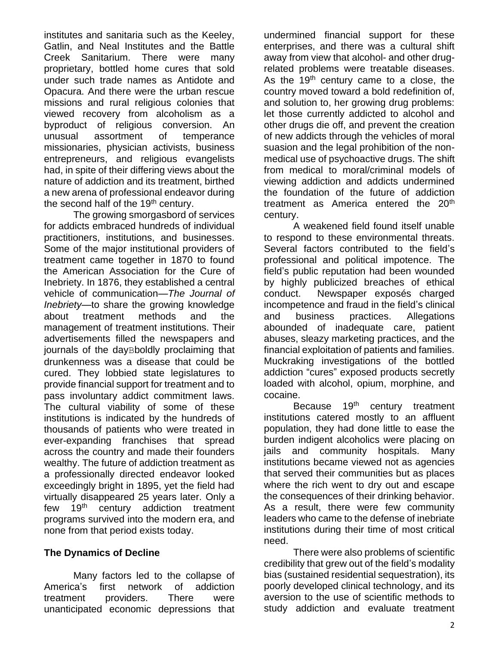institutes and sanitaria such as the Keeley, Gatlin, and Neal Institutes and the Battle Creek Sanitarium. There were many proprietary, bottled home cures that sold under such trade names as Antidote and Opacura. And there were the urban rescue missions and rural religious colonies that viewed recovery from alcoholism as a byproduct of religious conversion. An unusual assortment of temperance missionaries, physician activists, business entrepreneurs, and religious evangelists had, in spite of their differing views about the nature of addiction and its treatment, birthed a new arena of professional endeavor during the second half of the 19<sup>th</sup> century.

The growing smorgasbord of services for addicts embraced hundreds of individual practitioners, institutions, and businesses. Some of the major institutional providers of treatment came together in 1870 to found the American Association for the Cure of Inebriety. In 1876, they established a central vehicle of communication—*The Journal of Inebriety—*to share the growing knowledge about treatment methods and the management of treatment institutions. Their advertisements filled the newspapers and journals of the dayBboldly proclaiming that drunkenness was a disease that could be cured. They lobbied state legislatures to provide financial support for treatment and to pass involuntary addict commitment laws. The cultural viability of some of these institutions is indicated by the hundreds of thousands of patients who were treated in ever-expanding franchises that spread across the country and made their founders wealthy. The future of addiction treatment as a professionally directed endeavor looked exceedingly bright in 1895, yet the field had virtually disappeared 25 years later. Only a few 19<sup>th</sup> century addiction treatment programs survived into the modern era, and none from that period exists today.

#### **The Dynamics of Decline**

Many factors led to the collapse of America's first network of addiction treatment providers. There were unanticipated economic depressions that

undermined financial support for these enterprises, and there was a cultural shift away from view that alcohol- and other drugrelated problems were treatable diseases. As the  $19<sup>th</sup>$  century came to a close, the country moved toward a bold redefinition of, and solution to, her growing drug problems: let those currently addicted to alcohol and other drugs die off, and prevent the creation of new addicts through the vehicles of moral suasion and the legal prohibition of the nonmedical use of psychoactive drugs. The shift from medical to moral/criminal models of viewing addiction and addicts undermined the foundation of the future of addiction treatment as America entered the 20<sup>th</sup> century.

A weakened field found itself unable to respond to these environmental threats. Several factors contributed to the field's professional and political impotence. The field's public reputation had been wounded by highly publicized breaches of ethical conduct. Newspaper exposés charged incompetence and fraud in the field's clinical and business practices. Allegations abounded of inadequate care, patient abuses, sleazy marketing practices, and the financial exploitation of patients and families. Muckraking investigations of the bottled addiction "cures" exposed products secretly loaded with alcohol, opium, morphine, and cocaine.

Because 19<sup>th</sup> century treatment institutions catered mostly to an affluent population, they had done little to ease the burden indigent alcoholics were placing on jails and community hospitals. Many institutions became viewed not as agencies that served their communities but as places where the rich went to dry out and escape the consequences of their drinking behavior. As a result, there were few community leaders who came to the defense of inebriate institutions during their time of most critical need.

There were also problems of scientific credibility that grew out of the field's modality bias (sustained residential sequestration), its poorly developed clinical technology, and its aversion to the use of scientific methods to study addiction and evaluate treatment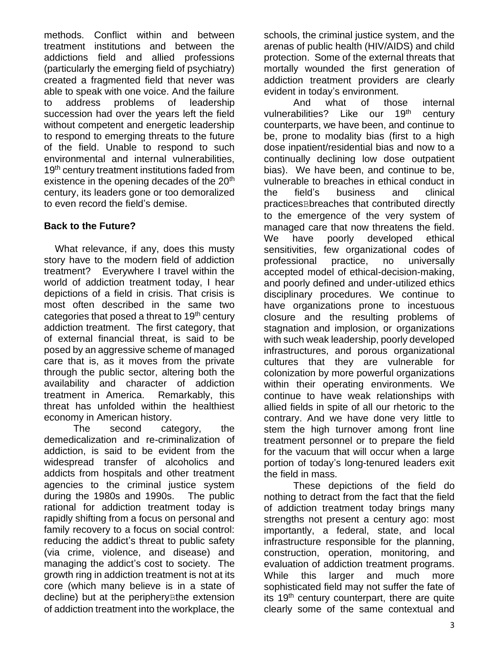methods. Conflict within and between treatment institutions and between the addictions field and allied professions (particularly the emerging field of psychiatry) created a fragmented field that never was able to speak with one voice. And the failure to address problems of leadership succession had over the years left the field without competent and energetic leadership to respond to emerging threats to the future of the field. Unable to respond to such environmental and internal vulnerabilities, 19<sup>th</sup> century treatment institutions faded from existence in the opening decades of the 20<sup>th</sup> century, its leaders gone or too demoralized to even record the field's demise.

#### **Back to the Future?**

 What relevance, if any, does this musty story have to the modern field of addiction treatment? Everywhere I travel within the world of addiction treatment today, I hear depictions of a field in crisis. That crisis is most often described in the same two categories that posed a threat to  $19<sup>th</sup>$  century addiction treatment. The first category, that of external financial threat, is said to be posed by an aggressive scheme of managed care that is, as it moves from the private through the public sector, altering both the availability and character of addiction treatment in America. Remarkably, this threat has unfolded within the healthiest economy in American history.

The second category, the demedicalization and re-criminalization of addiction, is said to be evident from the widespread transfer of alcoholics and addicts from hospitals and other treatment agencies to the criminal justice system during the 1980s and 1990s. The public rational for addiction treatment today is rapidly shifting from a focus on personal and family recovery to a focus on social control: reducing the addict's threat to public safety (via crime, violence, and disease) and managing the addict's cost to society. The growth ring in addiction treatment is not at its core (which many believe is in a state of decline) but at the peripheryBthe extension of addiction treatment into the workplace, the

schools, the criminal justice system, and the arenas of public health (HIV/AIDS) and child protection. Some of the external threats that mortally wounded the first generation of addiction treatment providers are clearly evident in today's environment.

And what of those internal vulnerabilities? Like our 19<sup>th</sup> century counterparts, we have been, and continue to be, prone to modality bias (first to a high dose inpatient/residential bias and now to a continually declining low dose outpatient bias). We have been, and continue to be, vulnerable to breaches in ethical conduct in the field's business and clinical practicesBbreaches that contributed directly to the emergence of the very system of managed care that now threatens the field. We have poorly developed ethical sensitivities, few organizational codes of professional practice, no universally accepted model of ethical-decision-making, and poorly defined and under-utilized ethics disciplinary procedures. We continue to have organizations prone to incestuous closure and the resulting problems of stagnation and implosion, or organizations with such weak leadership, poorly developed infrastructures, and porous organizational cultures that they are vulnerable for colonization by more powerful organizations within their operating environments. We continue to have weak relationships with allied fields in spite of all our rhetoric to the contrary. And we have done very little to stem the high turnover among front line treatment personnel or to prepare the field for the vacuum that will occur when a large portion of today's long-tenured leaders exit the field in mass.

These depictions of the field do nothing to detract from the fact that the field of addiction treatment today brings many strengths not present a century ago: most importantly, a federal, state, and local infrastructure responsible for the planning, construction, operation, monitoring, and evaluation of addiction treatment programs. While this larger and much more sophisticated field may not suffer the fate of its  $19<sup>th</sup>$  century counterpart, there are quite clearly some of the same contextual and